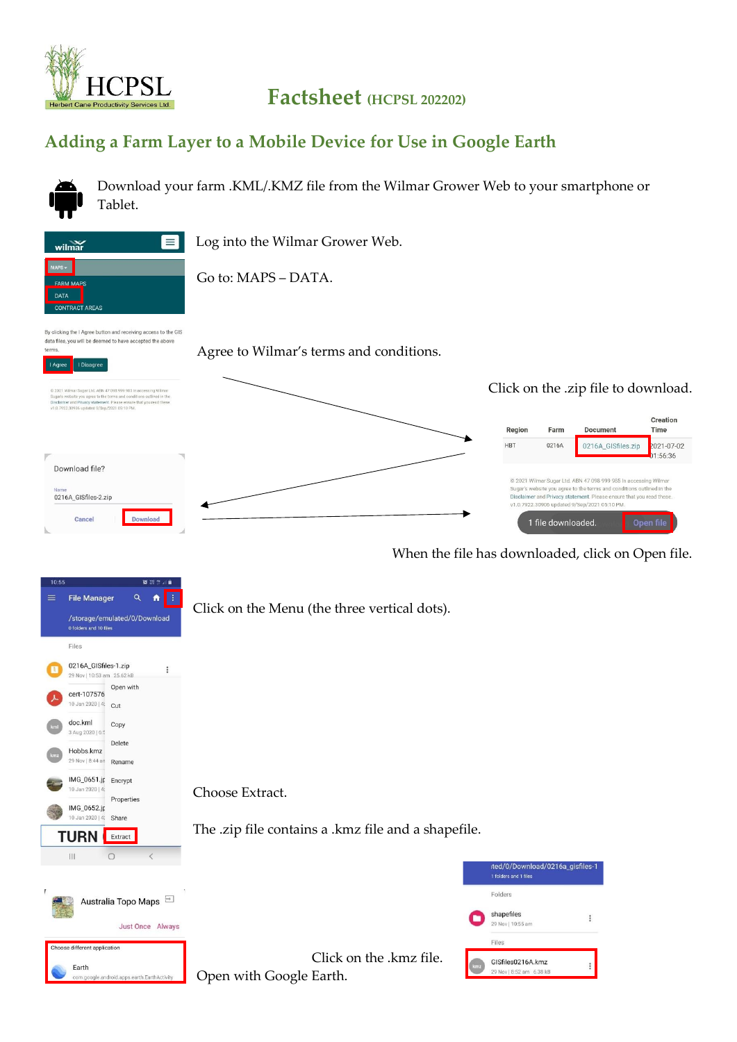

## **Factsheet (HCPSL 202202)**

## **Adding a Farm Layer to a Mobile Device for Use in Google Earth**



Download your farm .KML/.KMZ file from the Wilmar Grower Web to your smartphone or Tablet.

Log into the Wilmar Grower Web.



 $=$ 

Go to: MAPS – DATA.

By clicking the I Agree button and receiving access to the GIS data files, you will be deemed to have accepted the above terms

Agree to Wilmar's terms and conditions.



When the file has downloaded, click on Open file.



Open with Google Earth.

android apps earth EarthAct